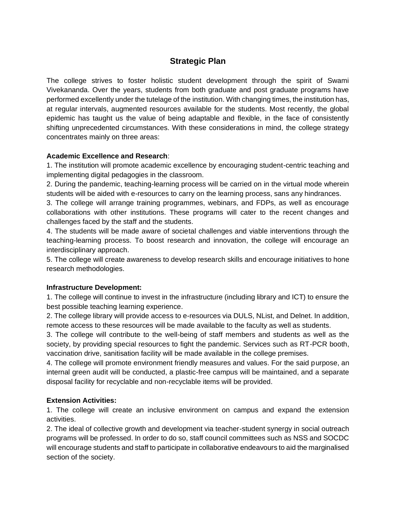## **Strategic Plan**

The college strives to foster holistic student development through the spirit of Swami Vivekananda. Over the years, students from both graduate and post graduate programs have performed excellently under the tutelage of the institution. With changing times, the institution has, at regular intervals, augmented resources available for the students. Most recently, the global epidemic has taught us the value of being adaptable and flexible, in the face of consistently shifting unprecedented circumstances. With these considerations in mind, the college strategy concentrates mainly on three areas:

## **Academic Excellence and Research**:

1. The institution will promote academic excellence by encouraging student-centric teaching and implementing digital pedagogies in the classroom.

2. During the pandemic, teaching-learning process will be carried on in the virtual mode wherein students will be aided with e-resources to carry on the learning process, sans any hindrances.

3. The college will arrange training programmes, webinars, and FDPs, as well as encourage collaborations with other institutions. These programs will cater to the recent changes and challenges faced by the staff and the students.

4. The students will be made aware of societal challenges and viable interventions through the teaching-learning process. To boost research and innovation, the college will encourage an interdisciplinary approach.

5. The college will create awareness to develop research skills and encourage initiatives to hone research methodologies.

## **Infrastructure Development:**

1. The college will continue to invest in the infrastructure (including library and ICT) to ensure the best possible teaching learning experience.

2. The college library will provide access to e-resources via DULS, NList, and Delnet. In addition, remote access to these resources will be made available to the faculty as well as students.

3. The college will contribute to the well-being of staff members and students as well as the society, by providing special resources to fight the pandemic. Services such as RT-PCR booth, vaccination drive, sanitisation facility will be made available in the college premises.

4. The college will promote environment friendly measures and values. For the said purpose, an internal green audit will be conducted, a plastic-free campus will be maintained, and a separate disposal facility for recyclable and non-recyclable items will be provided.

## **Extension Activities:**

1. The college will create an inclusive environment on campus and expand the extension activities.

2. The ideal of collective growth and development via teacher-student synergy in social outreach programs will be professed. In order to do so, staff council committees such as NSS and SOCDC will encourage students and staff to participate in collaborative endeavours to aid the marginalised section of the society.